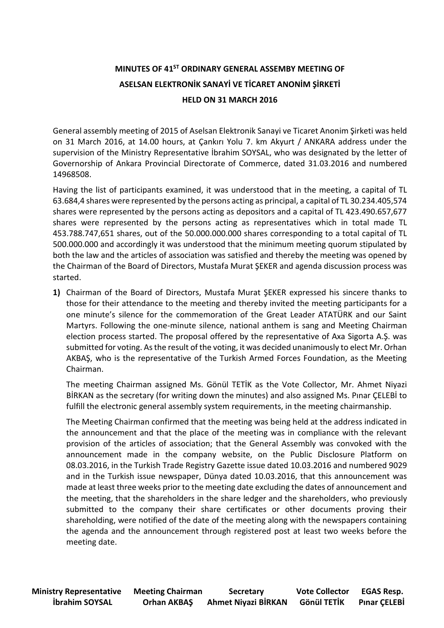## **MINUTES OF 41 ST ORDINARY GENERAL ASSEMBY MEETING OF ASELSAN ELEKTRONİK SANAYİ VE TİCARET ANONİM ŞİRKETİ HELD ON 31 MARCH 2016**

General assembly meeting of 2015 of Aselsan Elektronik Sanayi ve Ticaret Anonim Şirketi was held on 31 March 2016, at 14.00 hours, at Çankırı Yolu 7. km Akyurt / ANKARA address under the supervision of the Ministry Representative İbrahim SOYSAL, who was designated by the letter of Governorship of Ankara Provincial Directorate of Commerce, dated 31.03.2016 and numbered 14968508.

Having the list of participants examined, it was understood that in the meeting, a capital of TL 63.684,4 shares were represented by the persons acting as principal, a capital of TL 30.234.405,574 shares were represented by the persons acting as depositors and a capital of TL 423.490.657,677 shares were represented by the persons acting as representatives which in total made TL 453.788.747,651 shares, out of the 50.000.000.000 shares corresponding to a total capital of TL 500.000.000 and accordingly it was understood that the minimum meeting quorum stipulated by both the law and the articles of association was satisfied and thereby the meeting was opened by the Chairman of the Board of Directors, Mustafa Murat ŞEKER and agenda discussion process was started.

**1)** Chairman of the Board of Directors, Mustafa Murat ŞEKER expressed his sincere thanks to those for their attendance to the meeting and thereby invited the meeting participants for a one minute's silence for the commemoration of the Great Leader ATATÜRK and our Saint Martyrs. Following the one-minute silence, national anthem is sang and Meeting Chairman election process started. The proposal offered by the representative of Axa Sigorta A.Ş. was submitted for voting. As the result of the voting, it was decided unanimously to elect Mr. Orhan AKBAŞ, who is the representative of the Turkish Armed Forces Foundation, as the Meeting Chairman.

The meeting Chairman assigned Ms. Gönül TETİK as the Vote Collector, Mr. Ahmet Niyazi BİRKAN as the secretary (for writing down the minutes) and also assigned Ms. Pınar ÇELEBİ to fulfill the electronic general assembly system requirements, in the meeting chairmanship.

The Meeting Chairman confirmed that the meeting was being held at the address indicated in the announcement and that the place of the meeting was in compliance with the relevant provision of the articles of association; that the General Assembly was convoked with the announcement made in the company website, on the Public Disclosure Platform on 08.03.2016, in the Turkish Trade Registry Gazette issue dated 10.03.2016 and numbered 9029 and in the Turkish issue newspaper, Dünya dated 10.03.2016, that this announcement was made at least three weeks prior to the meeting date excluding the dates of announcement and the meeting, that the shareholders in the share ledger and the shareholders, who previously submitted to the company their share certificates or other documents proving their shareholding, were notified of the date of the meeting along with the newspapers containing the agenda and the announcement through registered post at least two weeks before the meeting date.

**Ministry Representative Meeting Chairman Secretary Vote Collector EGAS Resp. İbrahim SOYSAL Orhan AKBAŞ Ahmet Niyazi BİRKAN Gönül TETİK Pınar ÇELEBİ**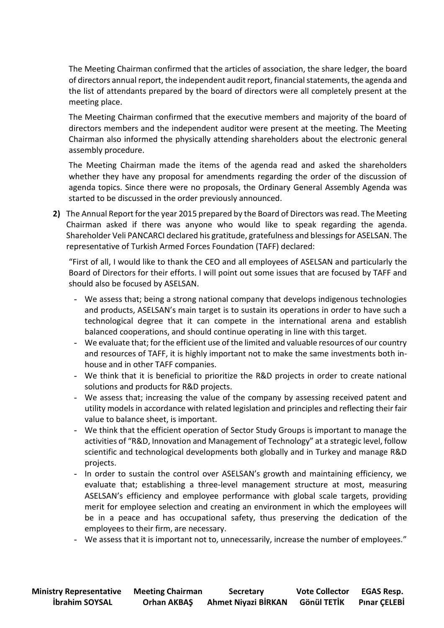The Meeting Chairman confirmed that the articles of association, the share ledger, the board of directors annual report, the independent audit report, financial statements, the agenda and the list of attendants prepared by the board of directors were all completely present at the meeting place.

The Meeting Chairman confirmed that the executive members and majority of the board of directors members and the independent auditor were present at the meeting. The Meeting Chairman also informed the physically attending shareholders about the electronic general assembly procedure.

The Meeting Chairman made the items of the agenda read and asked the shareholders whether they have any proposal for amendments regarding the order of the discussion of agenda topics. Since there were no proposals, the Ordinary General Assembly Agenda was started to be discussed in the order previously announced.

**2)** The Annual Report for the year 2015 prepared by the Board of Directors was read. The Meeting Chairman asked if there was anyone who would like to speak regarding the agenda. Shareholder Veli PANCARCI declared his gratitude, gratefulness and blessings for ASELSAN. The representative of Turkish Armed Forces Foundation (TAFF) declared:

"First of all, I would like to thank the CEO and all employees of ASELSAN and particularly the Board of Directors for their efforts. I will point out some issues that are focused by TAFF and should also be focused by ASELSAN.

- We assess that; being a strong national company that develops indigenous technologies and products, ASELSAN's main target is to sustain its operations in order to have such a technological degree that it can compete in the international arena and establish balanced cooperations, and should continue operating in line with this target.
- We evaluate that; for the efficient use of the limited and valuable resources of our country and resources of TAFF, it is highly important not to make the same investments both inhouse and in other TAFF companies.
- We think that it is beneficial to prioritize the R&D projects in order to create national solutions and products for R&D projects.
- We assess that; increasing the value of the company by assessing received patent and utility models in accordance with related legislation and principles and reflecting their fair value to balance sheet, is important.
- We think that the efficient operation of Sector Study Groups is important to manage the activities of "R&D, Innovation and Management of Technology" at a strategic level, follow scientific and technological developments both globally and in Turkey and manage R&D projects.
- In order to sustain the control over ASELSAN's growth and maintaining efficiency, we evaluate that; establishing a three-level management structure at most, measuring ASELSAN's efficiency and employee performance with global scale targets, providing merit for employee selection and creating an environment in which the employees will be in a peace and has occupational safety, thus preserving the dedication of the employees to their firm, are necessary.
- We assess that it is important not to, unnecessarily, increase the number of employees."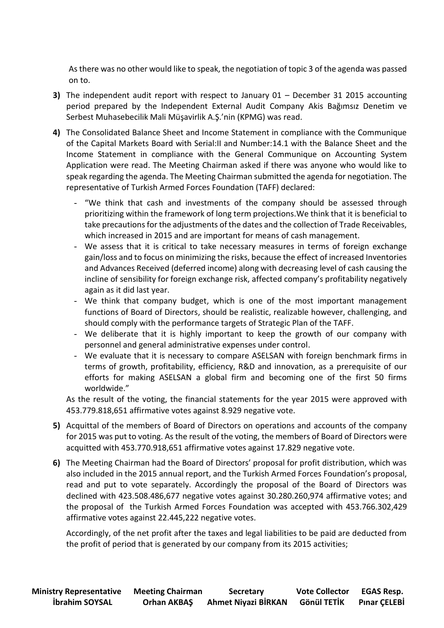As there was no other would like to speak, the negotiation of topic 3 of the agenda was passed on to.

- **3)** The independent audit report with respect to January 01 December 31 2015 accounting period prepared by the Independent External Audit Company Akis Bağımsız Denetim ve Serbest Muhasebecilik Mali Müşavirlik A.Ş.'nin (KPMG) was read.
- **4)** The Consolidated Balance Sheet and Income Statement in compliance with the Communique of the Capital Markets Board with Serial:II and Number:14.1 with the Balance Sheet and the Income Statement in compliance with the General Communique on Accounting System Application were read. The Meeting Chairman asked if there was anyone who would like to speak regarding the agenda. The Meeting Chairman submitted the agenda for negotiation. The representative of Turkish Armed Forces Foundation (TAFF) declared:
	- "We think that cash and investments of the company should be assessed through prioritizing within the framework of long term projections.We think that it is beneficial to take precautions for the adjustments of the dates and the collection of Trade Receivables, which increased in 2015 and are important for means of cash management.
	- We assess that it is critical to take necessary measures in terms of foreign exchange gain/loss and to focus on minimizing the risks, because the effect of increased Inventories and Advances Received (deferred income) along with decreasing level of cash causing the incline of sensibility for foreign exchange risk, affected company's profitability negatively again as it did last year.
	- We think that company budget, which is one of the most important management functions of Board of Directors, should be realistic, realizable however, challenging, and should comply with the performance targets of Strategic Plan of the TAFF.
	- We deliberate that it is highly important to keep the growth of our company with personnel and general administrative expenses under control.
	- We evaluate that it is necessary to compare ASELSAN with foreign benchmark firms in terms of growth, profitability, efficiency, R&D and innovation, as a prerequisite of our efforts for making ASELSAN a global firm and becoming one of the first 50 firms worldwide."

As the result of the voting, the financial statements for the year 2015 were approved with 453.779.818,651 affirmative votes against 8.929 negative vote.

- **5)** Acquittal of the members of Board of Directors on operations and accounts of the company for 2015 was put to voting. As the result of the voting, the members of Board of Directors were acquitted with 453.770.918,651 affirmative votes against 17.829 negative vote.
- **6)** The Meeting Chairman had the Board of Directors' proposal for profit distribution, which was also included in the 2015 annual report, and the Turkish Armed Forces Foundation's proposal, read and put to vote separately. Accordingly the proposal of the Board of Directors was declined with 423.508.486,677 negative votes against 30.280.260,974 affirmative votes; and the proposal of the Turkish Armed Forces Foundation was accepted with 453.766.302,429 affirmative votes against 22.445,222 negative votes.

Accordingly, of the net profit after the taxes and legal liabilities to be paid are deducted from the profit of period that is generated by our company from its 2015 activities;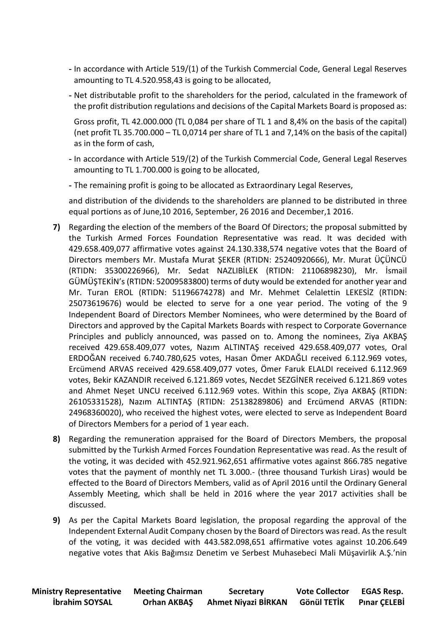- **-** In accordance with Article 519/(1) of the Turkish Commercial Code, General Legal Reserves amounting to TL 4.520.958,43 is going to be allocated,
- **-** Net distributable profit to the shareholders for the period, calculated in the framework of the profit distribution regulations and decisions of the Capital Markets Board is proposed as:

Gross profit, TL 42.000.000 (TL 0,084 per share of TL 1 and 8,4% on the basis of the capital) (net profit TL 35.700.000 – TL 0,0714 per share of TL 1 and 7,14% on the basis of the capital) as in the form of cash,

- **-** In accordance with Article 519/(2) of the Turkish Commercial Code, General Legal Reserves amounting to TL 1.700.000 is going to be allocated,
- **-** The remaining profit is going to be allocated as Extraordinary Legal Reserves,

and distribution of the dividends to the shareholders are planned to be distributed in three equal portions as of June,10 2016, September, 26 2016 and December,1 2016.

- **7)** Regarding the election of the members of the Board Of Directors; the proposal submitted by the Turkish Armed Forces Foundation Representative was read. It was decided with 429.658.409,077 affirmative votes against 24.130.338,574 negative votes that the Board of Directors members Mr. Mustafa Murat ŞEKER (RTIDN: 25240920666), Mr. Murat ÜÇÜNCÜ (RTIDN: 35300226966), Mr. Sedat NAZLIBİLEK (RTIDN: 21106898230), Mr. İsmail GÜMÜŞTEKİN's (RTIDN: 52009583800) terms of duty would be extended for another year and Mr. Turan EROL (RTIDN: 51196674278) and Mr. Mehmet Celalettin LEKESİZ (RTIDN: 25073619676) would be elected to serve for a one year period. The voting of the 9 Independent Board of Directors Member Nominees, who were determined by the Board of Directors and approved by the Capital Markets Boards with respect to Corporate Governance Principles and publicly announced, was passed on to. Among the nominees, Ziya AKBAŞ received 429.658.409,077 votes, Nazım ALTINTAŞ received 429.658.409,077 votes, Oral ERDOĞAN received 6.740.780,625 votes, Hasan Ömer AKDAĞLI received 6.112.969 votes, Ercümend ARVAS received 429.658.409,077 votes, Ömer Faruk ELALDI received 6.112.969 votes, Bekir KAZANDIR received 6.121.869 votes, Necdet SEZGİNER received 6.121.869 votes and Ahmet Neşet UNCU received 6.112.969 votes. Within this scope, Ziya AKBAŞ (RTIDN: 26105331528), Nazım ALTINTAŞ (RTIDN: 25138289806) and Ercümend ARVAS (RTIDN: 24968360020), who received the highest votes, were elected to serve as Independent Board of Directors Members for a period of 1 year each.
- **8)** Regarding the remuneration appraised for the Board of Directors Members, the proposal submitted by the Turkish Armed Forces Foundation Representative was read. As the result of the voting, it was decided with 452.921.962,651 affirmative votes against 866.785 negative votes that the payment of monthly net TL 3.000.- (three thousand Turkish Liras) would be effected to the Board of Directors Members, valid as of April 2016 until the Ordinary General Assembly Meeting, which shall be held in 2016 where the year 2017 activities shall be discussed.
- **9)** As per the Capital Markets Board legislation, the proposal regarding the approval of the Independent External Audit Company chosen by the Board of Directors was read. As the result of the voting, it was decided with 443.582.098,651 affirmative votes against 10.206.649 negative votes that Akis Bağımsız Denetim ve Serbest Muhasebeci Mali Müşavirlik A.Ş.'nin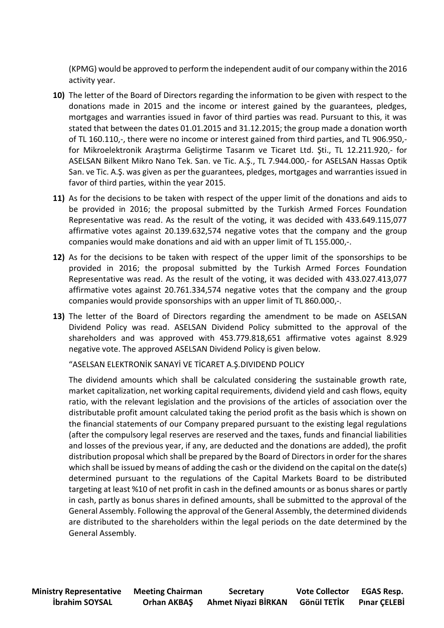(KPMG) would be approved to perform the independent audit of our company within the 2016 activity year.

- **10)** The letter of the Board of Directors regarding the information to be given with respect to the donations made in 2015 and the income or interest gained by the guarantees, pledges, mortgages and warranties issued in favor of third parties was read. Pursuant to this, it was stated that between the dates 01.01.2015 and 31.12.2015; the group made a donation worth of TL 160.110,-, there were no income or interest gained from third parties, and TL 906.950, for Mikroelektronik Araştırma Geliştirme Tasarım ve Ticaret Ltd. Şti., TL 12.211.920,- for ASELSAN Bilkent Mikro Nano Tek. San. ve Tic. A.Ş., TL 7.944.000,- for ASELSAN Hassas Optik San. ve Tic. A.Ş. was given as per the guarantees, pledges, mortgages and warranties issued in favor of third parties, within the year 2015.
- **11)** As for the decisions to be taken with respect of the upper limit of the donations and aids to be provided in 2016; the proposal submitted by the Turkish Armed Forces Foundation Representative was read. As the result of the voting, it was decided with 433.649.115,077 affirmative votes against 20.139.632,574 negative votes that the company and the group companies would make donations and aid with an upper limit of TL 155.000,-.
- **12)** As for the decisions to be taken with respect of the upper limit of the sponsorships to be provided in 2016; the proposal submitted by the Turkish Armed Forces Foundation Representative was read. As the result of the voting, it was decided with 433.027.413,077 affirmative votes against 20.761.334,574 negative votes that the company and the group companies would provide sponsorships with an upper limit of TL 860.000,-.
- **13)** The letter of the Board of Directors regarding the amendment to be made on ASELSAN Dividend Policy was read. ASELSAN Dividend Policy submitted to the approval of the shareholders and was approved with 453.779.818,651 affirmative votes against 8.929 negative vote. The approved ASELSAN Dividend Policy is given below.

"ASELSAN ELEKTRONİK SANAYİ VE TİCARET A.Ş.DIVIDEND POLICY

The dividend amounts which shall be calculated considering the sustainable growth rate, market capitalization, net working capital requirements, dividend yield and cash flows, equity ratio, with the relevant legislation and the provisions of the articles of association over the distributable profit amount calculated taking the period profit as the basis which is shown on the financial statements of our Company prepared pursuant to the existing legal regulations (after the compulsory legal reserves are reserved and the taxes, funds and financial liabilities and losses of the previous year, if any, are deducted and the donations are added), the profit distribution proposal which shall be prepared by the Board of Directors in order for the shares which shall be issued by means of adding the cash or the dividend on the capital on the date(s) determined pursuant to the regulations of the Capital Markets Board to be distributed targeting at least %10 of net profit in cash in the defined amounts or as bonus shares or partly in cash, partly as bonus shares in defined amounts, shall be submitted to the approval of the General Assembly. Following the approval of the General Assembly, the determined dividends are distributed to the shareholders within the legal periods on the date determined by the General Assembly.

**Ministry Representative Meeting Chairman Secretary Vote Collector EGAS Resp. İbrahim SOYSAL Orhan AKBAŞ Ahmet Niyazi BİRKAN Gönül TETİK Pınar ÇELEBİ**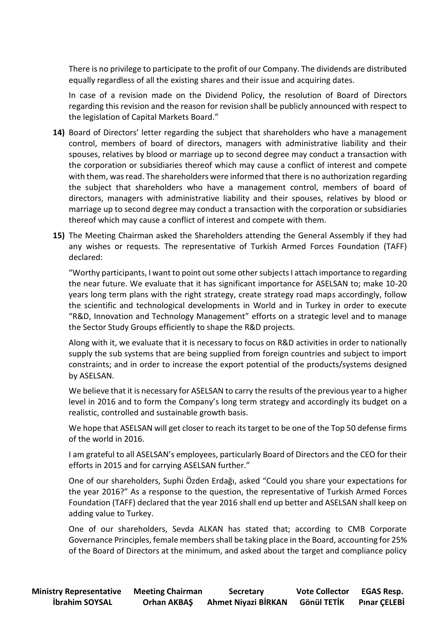There is no privilege to participate to the profit of our Company. The dividends are distributed equally regardless of all the existing shares and their issue and acquiring dates.

In case of a revision made on the Dividend Policy, the resolution of Board of Directors regarding this revision and the reason for revision shall be publicly announced with respect to the legislation of Capital Markets Board."

- **14)** Board of Directors' letter regarding the subject that shareholders who have a management control, members of board of directors, managers with administrative liability and their spouses, relatives by blood or marriage up to second degree may conduct a transaction with the corporation or subsidiaries thereof which may cause a conflict of interest and compete with them, was read. The shareholders were informed that there is no authorization regarding the subject that shareholders who have a management control, members of board of directors, managers with administrative liability and their spouses, relatives by blood or marriage up to second degree may conduct a transaction with the corporation or subsidiaries thereof which may cause a conflict of interest and compete with them.
- **15)** The Meeting Chairman asked the Shareholders attending the General Assembly if they had any wishes or requests. The representative of Turkish Armed Forces Foundation (TAFF) declared:

"Worthy participants, I want to point out some other subjects I attach importance to regarding the near future. We evaluate that it has significant importance for ASELSAN to; make 10-20 years long term plans with the right strategy, create strategy road maps accordingly, follow the scientific and technological developments in World and in Turkey in order to execute "R&D, Innovation and Technology Management" efforts on a strategic level and to manage the Sector Study Groups efficiently to shape the R&D projects.

Along with it, we evaluate that it is necessary to focus on R&D activities in order to nationally supply the sub systems that are being supplied from foreign countries and subject to import constraints; and in order to increase the export potential of the products/systems designed by ASELSAN.

We believe that it is necessary for ASELSAN to carry the results of the previous year to a higher level in 2016 and to form the Company's long term strategy and accordingly its budget on a realistic, controlled and sustainable growth basis.

We hope that ASELSAN will get closer to reach its target to be one of the Top 50 defense firms of the world in 2016.

I am grateful to all ASELSAN's employees, particularly Board of Directors and the CEO for their efforts in 2015 and for carrying ASELSAN further."

One of our shareholders, Suphi Özden Erdağı, asked "Could you share your expectations for the year 2016?" As a response to the question, the representative of Turkish Armed Forces Foundation (TAFF) declared that the year 2016 shall end up better and ASELSAN shall keep on adding value to Turkey.

One of our shareholders, Sevda ALKAN has stated that; according to CMB Corporate Governance Principles, female members shall be taking place in the Board, accounting for 25% of the Board of Directors at the minimum, and asked about the target and compliance policy